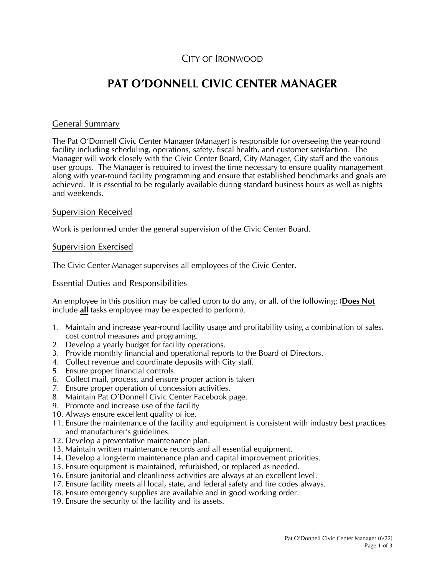# CITY OF IRONWOOD

# **PAT O'DONNELL CIVIC CENTER MANAGER**

#### General Summary

The Pat O'Donnell Civic Center Manager (Manager) is responsible for overseeing the year-round facility including scheduling, operations, safety, fiscal health, and customer satisfaction. The Manager will work closely with the Civic Center Board, City Manager, City staff and the various user groups. The Manager is required to invest the time necessary to ensure quality management along with year-round facility programming and ensure that established benchmarks and goals are achieved. It is essential to be regularly available during standard business hours as well as nights and weekends.

#### Supervision Received

Work is performed under the general supervision of the Civic Center Board.

#### Supervision Exercised

The Civic Center Manager supervises all employees of the Civic Center.

#### Essential Duties and Responsibilities

An employee in this position may be called upon to do any, or all, of the following: (**Does Not** include **all** tasks employee may be expected to perform).

- 1. Maintain and increase year-round facility usage and profitability using a combination of sales, cost control measures and programing.
- 2. Develop a yearly budget for facility operations.
- 3. Provide monthly financial and operational reports to the Board of Directors.
- 4. Collect revenue and coordinate deposits with City staff.
- 5. Ensure proper financial controls.
- 6. Collect mail, process, and ensure proper action is taken
- 7. Ensure proper operation of concession activities.
- 8. Maintain Pat O'Donnell Civic Center Facebook page.
- 9. Promote and increase use of the facility
- 10. Always ensure excellent quality of ice.
- 11. Ensure the maintenance of the facility and equipment is consistent with industry best practices and manufacturer's guidelines.
- 12. Develop a preventative maintenance plan.
- 13. Maintain written maintenance records and all essential equipment.
- 14. Develop a long-term maintenance plan and capital improvement priorities.
- 15. Ensure equipment is maintained, refurbished, or replaced as needed.
- 16. Ensure janitorial and cleanliness activities are always at an excellent level.
- 17. Ensure facility meets all local, state, and federal safety and fire codes always.
- 18. Ensure emergency supplies are available and in good working order.
- 19. Ensure the security of the facility and its assets.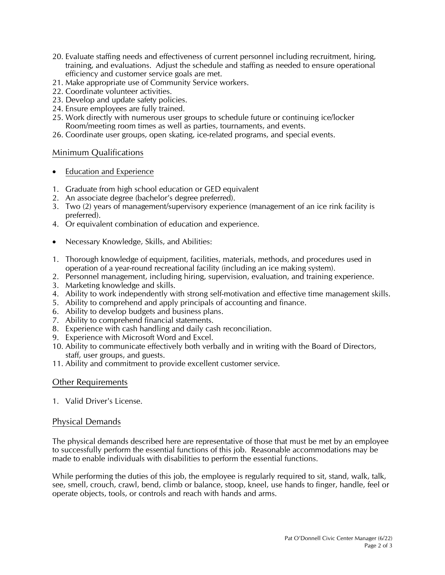- 20. Evaluate staffing needs and effectiveness of current personnel including recruitment, hiring, training, and evaluations. Adjust the schedule and staffing as needed to ensure operational efficiency and customer service goals are met.
- 21. Make appropriate use of Community Service workers.
- 22. Coordinate volunteer activities.
- 23. Develop and update safety policies.
- 24. Ensure employees are fully trained.
- 25. Work directly with numerous user groups to schedule future or continuing ice/locker Room/meeting room times as well as parties, tournaments, and events.
- 26. Coordinate user groups, open skating, ice-related programs, and special events.

# Minimum Qualifications

- Education and Experience
- 1. Graduate from high school education or GED equivalent
- 2. An associate degree (bachelor's degree preferred).
- 3. Two (2) years of management/supervisory experience (management of an ice rink facility is preferred).
- 4. Or equivalent combination of education and experience.
- Necessary Knowledge, Skills, and Abilities:
- 1. Thorough knowledge of equipment, facilities, materials, methods, and procedures used in operation of a year-round recreational facility (including an ice making system).
- 2. Personnel management, including hiring, supervision, evaluation, and training experience.
- 3. Marketing knowledge and skills.
- 4. Ability to work independently with strong self-motivation and effective time management skills.
- 5. Ability to comprehend and apply principals of accounting and finance.
- 6. Ability to develop budgets and business plans.
- 7. Ability to comprehend financial statements.
- 8. Experience with cash handling and daily cash reconciliation.
- 9. Experience with Microsoft Word and Excel.
- 10. Ability to communicate effectively both verbally and in writing with the Board of Directors, staff, user groups, and guests.
- 11. Ability and commitment to provide excellent customer service.

# Other Requirements

1. Valid Driver's License.

# Physical Demands

The physical demands described here are representative of those that must be met by an employee to successfully perform the essential functions of this job. Reasonable accommodations may be made to enable individuals with disabilities to perform the essential functions.

While performing the duties of this job, the employee is regularly required to sit, stand, walk, talk, see, smell, crouch, crawl, bend, climb or balance, stoop, kneel, use hands to finger, handle, feel or operate objects, tools, or controls and reach with hands and arms.